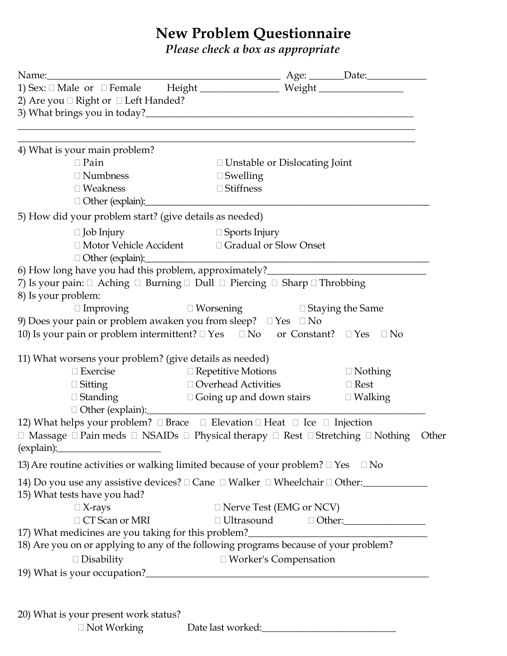# **New Problem Questionnaire**

*Please check a box as appropriate*

|                                                         | $\begin{tabular}{ll} Name: & \textbf{$\mathsf{Name}:\_\_] \\ 1) \textbf{Sex: } \hfill \Box \textbf{Male or } \hfill \Box \textbf{Female} & \textbf{Height} \hfill \end{tabular} \begin{tabular}{ll} \textbf{Page:} & \textbf{\textit{Date}}: \\ \hfill \textbf{Weight} & \textbf{Weight} \hfill \end{tabular}$ |                |  |  |  |  |  |
|---------------------------------------------------------|----------------------------------------------------------------------------------------------------------------------------------------------------------------------------------------------------------------------------------------------------------------------------------------------------------------|----------------|--|--|--|--|--|
| 2) Are you $\Box$ Right or $\Box$ Left Handed?          |                                                                                                                                                                                                                                                                                                                |                |  |  |  |  |  |
| 4) What is your main problem?                           | <u> 1980 - Johann John Stein, marwolaeth a bhannaich an t-Amhain an t-Amhain an t-Amhain an t-Amhain an t-Amhain a</u>                                                                                                                                                                                         |                |  |  |  |  |  |
| $\Box$ Pain                                             | $\Box$ Unstable or Dislocating Joint                                                                                                                                                                                                                                                                           |                |  |  |  |  |  |
| $\Box$ Numbness                                         | $\Box$ Swelling                                                                                                                                                                                                                                                                                                |                |  |  |  |  |  |
| $\square$ Weakness                                      | $\Box$ Stiffness                                                                                                                                                                                                                                                                                               |                |  |  |  |  |  |
| 5) How did your problem start? (give details as needed) |                                                                                                                                                                                                                                                                                                                |                |  |  |  |  |  |
| $\Box$ Job Injury                                       | $\Box$ Sports Injury                                                                                                                                                                                                                                                                                           |                |  |  |  |  |  |
| Other (explain):                                        | □ Motor Vehicle Accident □ Gradual or Slow Onset<br><u> 1980 - Jan Barbara, martin da basar da basar da basar da basar da basar da basar da basar da basar da basar</u>                                                                                                                                        |                |  |  |  |  |  |
|                                                         | 6) How long have you had this problem, approximately?____________________________                                                                                                                                                                                                                              |                |  |  |  |  |  |
| 8) Is your problem:                                     | 7) Is your pain: $\Box$ Aching $\Box$ Burning $\Box$ Dull $\Box$ Piercing $\Box$ Sharp $\Box$ Throbbing                                                                                                                                                                                                        |                |  |  |  |  |  |
|                                                         | $\square$ Improving $\square$ Worsening $\square$ Staying the Same                                                                                                                                                                                                                                             |                |  |  |  |  |  |
|                                                         | 9) Does your pain or problem awaken you from sleep? $\square$ Yes $\square$ No<br>10) Is your pain or problem intermittent? $\Box$ Yes $\Box$ No or Constant? $\Box$ Yes $\Box$ No                                                                                                                             |                |  |  |  |  |  |
| 11) What worsens your problem? (give details as needed) |                                                                                                                                                                                                                                                                                                                |                |  |  |  |  |  |
| $\Box$ Exercise                                         | $\Box$ Repetitive Motions                                                                                                                                                                                                                                                                                      | $\Box$ Nothing |  |  |  |  |  |
| $\Box$ Sitting                                          | □ Overhead Activities                                                                                                                                                                                                                                                                                          | $\Box$ Rest    |  |  |  |  |  |
| Other (explain):                                        | $\Box$ Standing $\Box$ Going up and down stairs $\Box$ Walking                                                                                                                                                                                                                                                 |                |  |  |  |  |  |
| $\frac{1}{2}$ (explain):                                | 12) What helps your problem? □ Brace □ Elevation □ Heat □ Ice □ Injection<br>$\Box$ Massage $\Box$ Pain meds $\Box$ NSAIDs $\Box$ Physical therapy $\Box$ Rest $\Box$ Stretching $\Box$ Nothing                                                                                                                | Other          |  |  |  |  |  |
|                                                         | 13) Are routine activities or walking limited because of your problem? $\Box$ Yes $\Box$ No                                                                                                                                                                                                                    |                |  |  |  |  |  |
| 15) What tests have you had?                            | 14) Do you use any assistive devices? □ Cane □ Walker □ Wheelchair □ Other:____________                                                                                                                                                                                                                        |                |  |  |  |  |  |
| $\Box$ X-rays                                           | □ Nerve Test (EMG or NCV)                                                                                                                                                                                                                                                                                      |                |  |  |  |  |  |
| $\Box$ CT Scan or MRI                                   |                                                                                                                                                                                                                                                                                                                |                |  |  |  |  |  |
|                                                         | 17) What medicines are you taking for this problem?_____________________________                                                                                                                                                                                                                               |                |  |  |  |  |  |
|                                                         | 18) Are you on or applying to any of the following programs because of your problem?                                                                                                                                                                                                                           |                |  |  |  |  |  |
|                                                         | □ Worker's Compensation                                                                                                                                                                                                                                                                                        |                |  |  |  |  |  |
| $\Box$ Disability                                       |                                                                                                                                                                                                                                                                                                                |                |  |  |  |  |  |

20) What is your present work status?

□ Not Working Date last worked: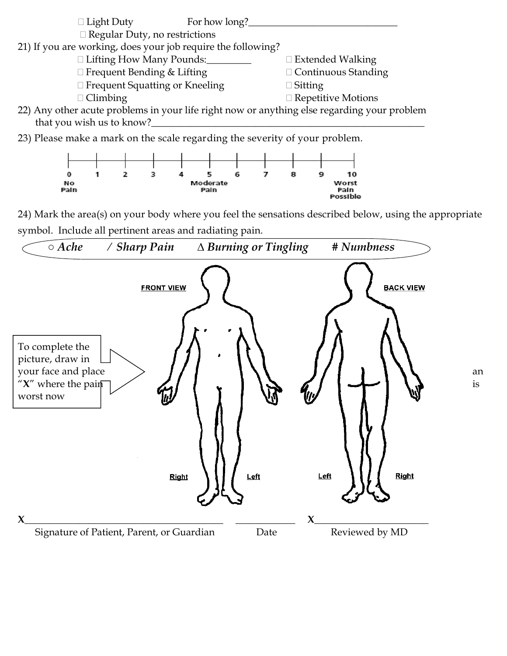



24) Mark the area(s) on your body where you feel the sensations described below, using the appropriate symbol. Include all pertinent areas and radiating pain.

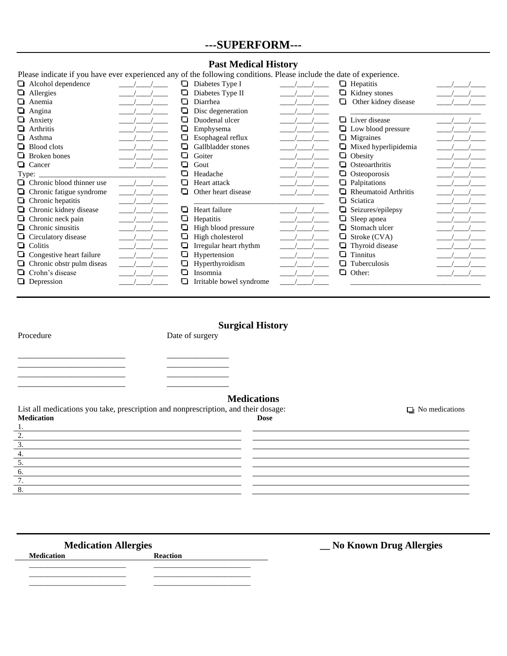## **---SUPERFORM---**

#### **Past Medical History**

| Please indicate if you have ever experienced any of the following conditions. Please include the date of experience. |   |                          |                                                  |  |
|----------------------------------------------------------------------------------------------------------------------|---|--------------------------|--------------------------------------------------|--|
| $\Box$ Alcohol dependence                                                                                            |   | Diabetes Type I          | Hepatitis                                        |  |
| $\Box$ Allergies                                                                                                     |   | Diabetes Type II         | Kidney stones                                    |  |
| $\Box$ Anemia                                                                                                        |   | Diarrhea                 | Other kidney disease<br>$\overline{\phantom{a}}$ |  |
| $\Box$ Angina                                                                                                        |   | Disc degeneration        |                                                  |  |
| $\Box$ Anxiety                                                                                                       |   | Duodenal ulcer           | Liver disease                                    |  |
| $\Box$ Arthritis                                                                                                     |   | Emphysema                | Low blood pressure<br>ப                          |  |
| $\Box$ Asthma                                                                                                        |   | Esophageal reflux        | Migraines<br>$\overline{\phantom{a}}$            |  |
| $\Box$ Blood clots                                                                                                   |   | Gallbladder stones       | Mixed hyperlipidemia<br>◘                        |  |
| $\Box$ Broken bones                                                                                                  |   | Goiter                   | Obesity<br>┚                                     |  |
| <b>Q</b> Cancer                                                                                                      |   | ◘<br>Gout                | Osteoarthritis                                   |  |
| Type:                                                                                                                |   | Headache                 | Osteoporosis<br>┚                                |  |
| $\Box$ Chronic blood thinner use                                                                                     |   | Heart attack             | Palpitations<br>$\sim$                           |  |
| $\Box$ Chronic fatigue syndrome                                                                                      |   | Other heart disease      | <b>Rheumatoid Arthritis</b>                      |  |
| $\Box$ Chronic hepatitis                                                                                             |   |                          | Sciatica<br>- 1                                  |  |
| $\Box$ Chronic kidney disease                                                                                        |   | Heart failure            | Seizures/epilepsy<br>⊔                           |  |
| $\Box$ Chronic neck pain                                                                                             |   | Hepatitis                | Sleep apnea                                      |  |
| $\Box$ Chronic sinusitis                                                                                             |   | High blood pressure      | Stomach ulcer                                    |  |
| $\Box$ Circulatory disease                                                                                           |   | High cholesterol         | Stroke (CVA)<br>ப                                |  |
| $\Box$ Colitis                                                                                                       |   | Irregular heart rhythm   | Thyroid disease                                  |  |
| $\Box$ Congestive heart failure                                                                                      |   | Hypertension             | <b>Tinnitus</b><br>- 1                           |  |
| $\Box$ Chronic obstr pulm diseas                                                                                     |   | Hyperthyroidism          | Tuberculosis                                     |  |
| □ Crohn's disease                                                                                                    | O | Insomnia                 | ם<br>Other:                                      |  |
| $\Box$ Depression                                                                                                    |   | Irritable bowel syndrome |                                                  |  |

# **Surgical History**

2. 3. 4. 5. 6. 7. 8.

Procedure Date of surgery

\_\_\_\_\_\_\_\_\_\_\_\_\_\_\_\_\_\_\_\_\_\_\_\_\_\_ \_\_\_\_\_\_\_\_\_\_\_\_\_\_\_ \_\_\_\_\_\_\_\_\_\_\_\_\_\_\_\_\_\_\_\_\_\_\_\_\_\_ \_\_\_\_\_\_\_\_\_\_\_\_\_\_\_ \_\_\_\_\_\_\_\_\_\_\_\_\_\_\_\_\_\_\_\_\_\_\_\_\_\_ \_\_\_\_\_\_\_\_\_\_\_\_\_\_\_

\_\_\_\_\_\_\_\_\_\_\_\_\_\_\_\_\_\_\_\_\_\_\_\_\_\_ \_\_\_\_\_\_\_\_\_\_\_\_\_\_\_

### **Medications**

List all medications you take, prescription and nonprescription, and their dosage:  $\Box$  No medications **Medication Dose** 1. 

> <u> 1980 - Johann Barn, mars eta bainar eta bainar eta baina eta baina eta baina eta baina eta baina eta baina e</u>

> > <u> 1989 - Johann Stoff, deutscher Stoffen und der Stoffen und der Stoffen und der Stoffen und der Stoffen und d</u>

<u> 1980 - Johann Barn, mars eta bainar eta baina eta baina eta baina eta baina eta baina eta baina eta baina e</u>

**Medication** 

Medication Allergies **Medication Allergies Medication Allergies Medication Reaction** 

<u> 1980 - Johann Barn, mars ann an t-Amhain Aonaich an t-Aonaich an t-Aonaich ann an t-Aonaich ann an t-Aonaich</u>

\_\_\_\_\_\_\_\_\_\_\_\_\_\_\_\_\_\_\_\_\_\_\_\_\_\_ \_\_\_\_\_\_\_\_\_\_\_\_\_\_\_\_\_\_\_\_\_\_\_\_\_\_  $\overline{\phantom{a}}$  ,  $\overline{\phantom{a}}$  ,  $\overline{\phantom{a}}$  ,  $\overline{\phantom{a}}$  ,  $\overline{\phantom{a}}$  ,  $\overline{\phantom{a}}$  ,  $\overline{\phantom{a}}$  ,  $\overline{\phantom{a}}$  ,  $\overline{\phantom{a}}$  ,  $\overline{\phantom{a}}$  ,  $\overline{\phantom{a}}$  ,  $\overline{\phantom{a}}$  ,  $\overline{\phantom{a}}$  ,  $\overline{\phantom{a}}$  ,  $\overline{\phantom{a}}$  ,  $\overline{\phantom{a}}$ \_\_\_\_\_\_\_\_\_\_\_\_\_\_\_\_\_\_\_\_\_\_\_\_\_\_ \_\_\_\_\_\_\_\_\_\_\_\_\_\_\_\_\_\_\_\_\_\_\_\_\_\_